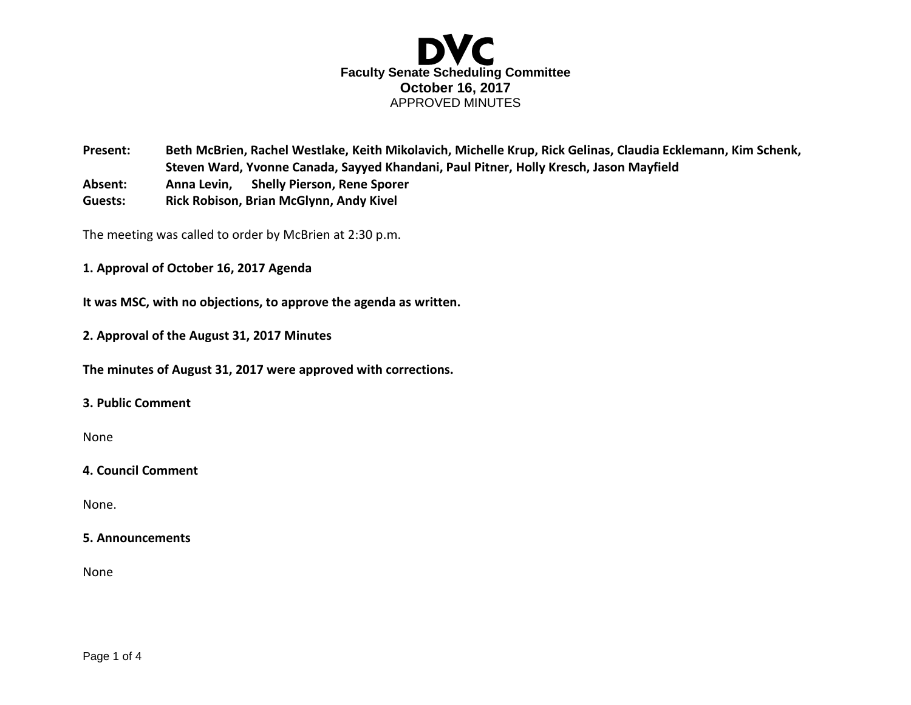

**Present: Beth McBrien, Rachel Westlake, Keith Mikolavich, Michelle Krup, Rick Gelinas, Claudia Ecklemann, Kim Schenk, Steven Ward, Yvonne Canada, Sayyed Khandani, Paul Pitner, Holly Kresch, Jason Mayfield Absent: Anna Levin, Shelly Pierson, Rene Sporer**

**Guests: Rick Robison, Brian McGlynn, Andy Kivel**

The meeting was called to order by McBrien at 2:30 p.m.

**1. Approval of October 16, 2017 Agenda** 

**It was MSC, with no objections, to approve the agenda as written.**

**2. Approval of the August 31, 2017 Minutes** 

**The minutes of August 31, 2017 were approved with corrections.** 

# **3. Public Comment**

None

### **4. Council Comment**

None.

#### **5. Announcements**

None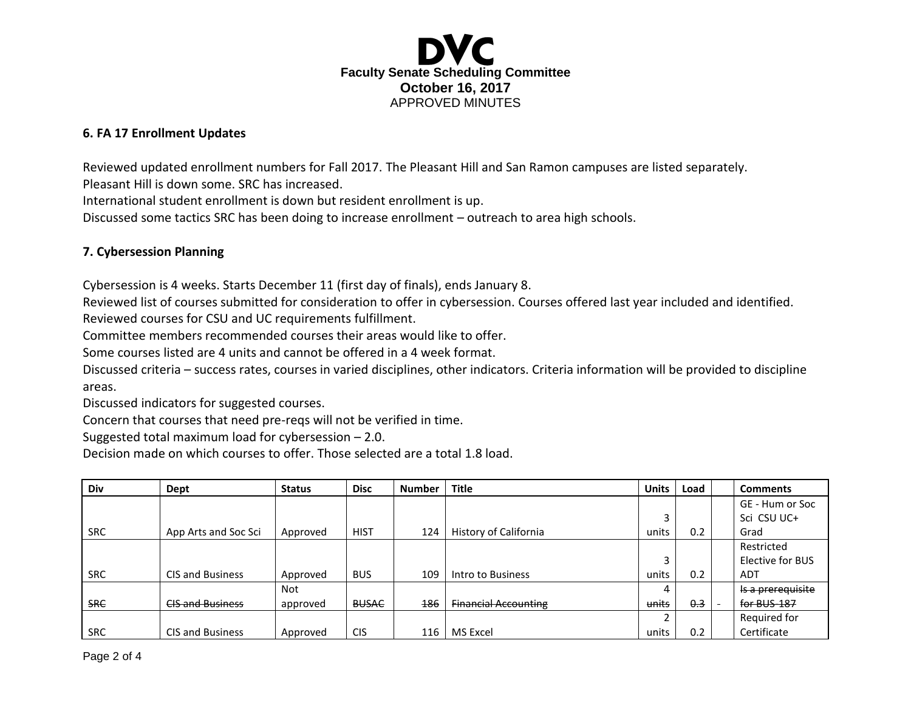

# **6. FA 17 Enrollment Updates**

Reviewed updated enrollment numbers for Fall 2017. The Pleasant Hill and San Ramon campuses are listed separately. Pleasant Hill is down some. SRC has increased.

International student enrollment is down but resident enrollment is up.

Discussed some tactics SRC has been doing to increase enrollment – outreach to area high schools.

## **7. Cybersession Planning**

Cybersession is 4 weeks. Starts December 11 (first day of finals), ends January 8.

Reviewed list of courses submitted for consideration to offer in cybersession. Courses offered last year included and identified. Reviewed courses for CSU and UC requirements fulfillment.

Committee members recommended courses their areas would like to offer.

Some courses listed are 4 units and cannot be offered in a 4 week format.

Discussed criteria – success rates, courses in varied disciplines, other indicators. Criteria information will be provided to discipline areas.

Discussed indicators for suggested courses.

Concern that courses that need pre-reqs will not be verified in time.

Suggested total maximum load for cybersession – 2.0.

Decision made on which courses to offer. Those selected are a total 1.8 load.

| <b>Div</b> | Dept                    | <b>Status</b> | <b>Disc</b>  | Number | <b>Title</b>                | <b>Units</b>             | Load | <b>Comments</b>   |
|------------|-------------------------|---------------|--------------|--------|-----------------------------|--------------------------|------|-------------------|
|            |                         |               |              |        |                             |                          |      | GE - Hum or Soc   |
|            |                         |               |              |        |                             | 3                        |      | Sci CSU UC+       |
| <b>SRC</b> | App Arts and Soc Sci    | Approved      | <b>HIST</b>  | 124    | History of California       | units                    | 0.2  | Grad              |
|            |                         |               |              |        |                             |                          |      | Restricted        |
|            |                         |               |              |        |                             | 3                        |      | Elective for BUS  |
| <b>SRC</b> | <b>CIS and Business</b> | Approved      | <b>BUS</b>   | 109    | Intro to Business           | units                    | 0.2  | <b>ADT</b>        |
|            |                         | <b>Not</b>    |              |        |                             | 4                        |      | Is a prerequisite |
| <b>SRC</b> | <b>CIS and Business</b> | approved      | <b>BUSAC</b> | 186    | <b>Financial Accounting</b> | units                    | 0.3  | for BUS-187       |
|            |                         |               |              |        |                             | $\overline{\phantom{0}}$ |      | Required for      |
| <b>SRC</b> | <b>CIS and Business</b> | Approved      | <b>CIS</b>   | 116    | <b>MS</b> Excel             | units                    | 0.2  | Certificate       |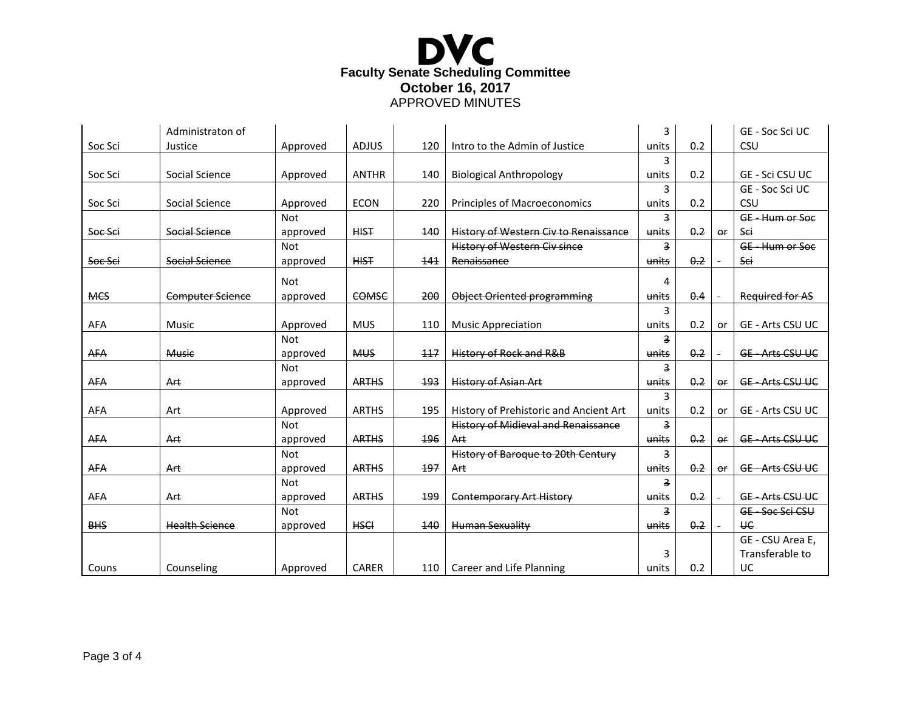

|            | Administraton of        |            |              |     |                                              | 3              |     |           | GE - Soc Sci UC         |
|------------|-------------------------|------------|--------------|-----|----------------------------------------------|----------------|-----|-----------|-------------------------|
| Soc Sci    | Justice                 | Approved   | <b>ADJUS</b> | 120 | Intro to the Admin of Justice                | units          | 0.2 |           | CSU                     |
|            |                         |            |              |     |                                              | 3              |     |           |                         |
| Soc Sci    | Social Science          | Approved   | <b>ANTHR</b> | 140 | <b>Biological Anthropology</b>               | units          | 0.2 |           | GE - Sci CSU UC         |
|            |                         |            |              |     |                                              | 3              |     |           | GE - Soc Sci UC         |
| Soc Sci    | Social Science          | Approved   | <b>ECON</b>  | 220 | <b>Principles of Macroeconomics</b>          | units          | 0.2 |           | CSU                     |
|            |                         | <b>Not</b> |              |     |                                              | $\overline{3}$ |     |           | GE-Hum or Soc           |
| Soc Sci    | Social Science          | approved   | <b>HIST</b>  | 140 | <b>History of Western Civ to Renaissance</b> | units          | 0.2 | or        | Sci                     |
|            |                         | <b>Not</b> |              |     | <b>History of Western Civ since</b>          | з              |     |           | GE - Hum or Soc         |
| Soc Sci    | Social Science          | approved   | <b>HIST</b>  | 141 | Renaissance                                  | units          | 0.2 |           | Sci                     |
|            |                         | <b>Not</b> |              |     |                                              | 4              |     |           |                         |
| <b>MCS</b> | <b>Computer Science</b> | approved   | COMSC        | 200 | Object Oriented programming                  | units          | 0.4 |           | <b>Required for AS</b>  |
|            |                         |            |              |     |                                              | 3              |     |           |                         |
| AFA        | Music                   | Approved   | <b>MUS</b>   | 110 | <b>Music Appreciation</b>                    | units          | 0.2 | or        | <b>GE - Arts CSU UC</b> |
|            |                         | <b>Not</b> |              |     |                                              | 3              |     |           |                         |
| <b>AFA</b> | <b>Music</b>            | approved   | <b>MUS</b>   | 117 | History of Rock and R&B                      | units          | 0.2 |           | <b>GE-Arts CSU UC</b>   |
|            |                         | <b>Not</b> |              |     |                                              | з              |     |           |                         |
| <b>AFA</b> | Art                     | approved   | <b>ARTHS</b> | 193 | <b>History of Asian Art</b>                  | units          | 0.2 | or        | <b>GE-Arts CSU UC</b>   |
|            |                         |            |              |     |                                              | 3              |     |           |                         |
| AFA        | Art                     | Approved   | <b>ARTHS</b> | 195 | History of Prehistoric and Ancient Art       | units          | 0.2 | or        | <b>GE - Arts CSU UC</b> |
|            |                         | <b>Not</b> |              |     | <b>History of Midieval and Renaissance</b>   | $\overline{3}$ |     |           |                         |
| <b>AFA</b> | Art                     | approved   | <b>ARTHS</b> | 196 | Art                                          | units          | 0.2 | <b>OF</b> | <b>GE-Arts CSU UC</b>   |
|            |                         | <b>Not</b> |              |     | History of Baroque to 20th Century           | $\overline{3}$ |     |           |                         |
| <b>AFA</b> | Art                     | approved   | <b>ARTHS</b> | 197 | Art                                          | units          | 0.2 | or        | <b>GE-Arts CSU UC</b>   |
|            |                         | <b>Not</b> |              |     |                                              | з              |     |           |                         |
| <b>AFA</b> | Art                     | approved   | <b>ARTHS</b> | 199 | <b>Contemporary Art History</b>              | units          | 0.2 |           | <b>GE-Arts CSU UC</b>   |
|            |                         | <b>Not</b> |              |     |                                              | 3              |     |           | GE-Soc Sci CSU          |
| <b>BHS</b> | <b>Health Science</b>   | approved   | <b>HSCI</b>  | 140 | <b>Human Sexuality</b>                       | units          | 0.2 | $\sim$    | <b>HE</b>               |
|            |                         |            |              |     |                                              |                |     |           | GE - CSU Area E,        |
|            |                         |            |              |     |                                              | 3              |     |           | Transferable to         |
| Couns      | Counseling              | Approved   | <b>CARER</b> | 110 | Career and Life Planning                     | units          | 0.2 |           | UC                      |